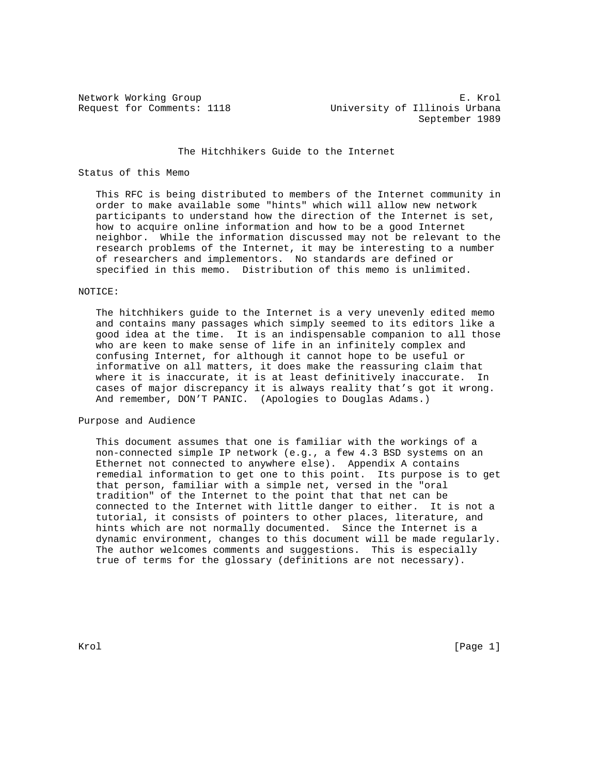Network Working Group<br>Request for Comments: 1118 The University of Illinois Urbana University of Illinois Urbana September 1989

# The Hitchhikers Guide to the Internet

# Status of this Memo

 This RFC is being distributed to members of the Internet community in order to make available some "hints" which will allow new network participants to understand how the direction of the Internet is set, how to acquire online information and how to be a good Internet neighbor. While the information discussed may not be relevant to the research problems of the Internet, it may be interesting to a number of researchers and implementors. No standards are defined or specified in this memo. Distribution of this memo is unlimited.

## NOTICE:

 The hitchhikers guide to the Internet is a very unevenly edited memo and contains many passages which simply seemed to its editors like a good idea at the time. It is an indispensable companion to all those who are keen to make sense of life in an infinitely complex and confusing Internet, for although it cannot hope to be useful or informative on all matters, it does make the reassuring claim that where it is inaccurate, it is at least definitively inaccurate. In cases of major discrepancy it is always reality that's got it wrong. And remember, DON'T PANIC. (Apologies to Douglas Adams.)

# Purpose and Audience

 This document assumes that one is familiar with the workings of a non-connected simple IP network (e.g., a few 4.3 BSD systems on an Ethernet not connected to anywhere else). Appendix A contains remedial information to get one to this point. Its purpose is to get that person, familiar with a simple net, versed in the "oral tradition" of the Internet to the point that that net can be connected to the Internet with little danger to either. It is not a tutorial, it consists of pointers to other places, literature, and hints which are not normally documented. Since the Internet is a dynamic environment, changes to this document will be made regularly. The author welcomes comments and suggestions. This is especially true of terms for the glossary (definitions are not necessary).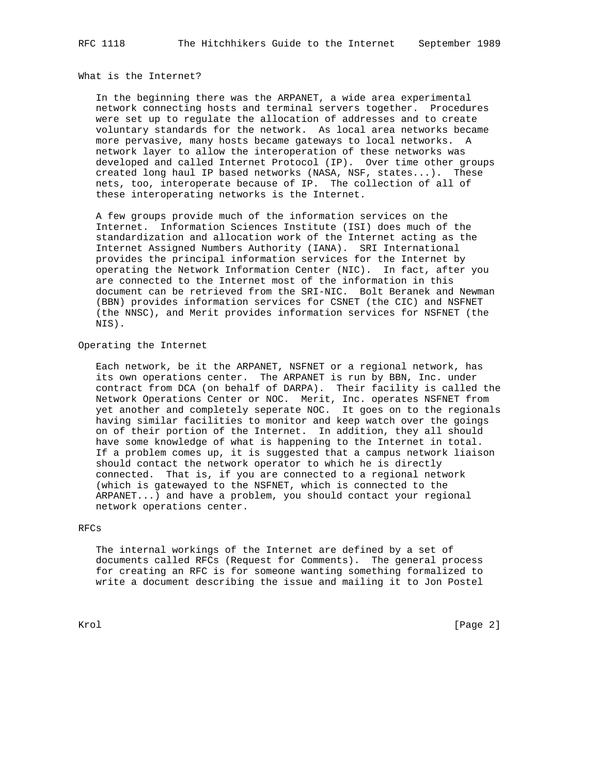## What is the Internet?

 In the beginning there was the ARPANET, a wide area experimental network connecting hosts and terminal servers together. Procedures were set up to regulate the allocation of addresses and to create voluntary standards for the network. As local area networks became more pervasive, many hosts became gateways to local networks. A network layer to allow the interoperation of these networks was developed and called Internet Protocol (IP). Over time other groups created long haul IP based networks (NASA, NSF, states...). These nets, too, interoperate because of IP. The collection of all of these interoperating networks is the Internet.

 A few groups provide much of the information services on the Internet. Information Sciences Institute (ISI) does much of the standardization and allocation work of the Internet acting as the Internet Assigned Numbers Authority (IANA). SRI International provides the principal information services for the Internet by operating the Network Information Center (NIC). In fact, after you are connected to the Internet most of the information in this document can be retrieved from the SRI-NIC. Bolt Beranek and Newman (BBN) provides information services for CSNET (the CIC) and NSFNET (the NNSC), and Merit provides information services for NSFNET (the NIS).

# Operating the Internet

 Each network, be it the ARPANET, NSFNET or a regional network, has its own operations center. The ARPANET is run by BBN, Inc. under contract from DCA (on behalf of DARPA). Their facility is called the Network Operations Center or NOC. Merit, Inc. operates NSFNET from yet another and completely seperate NOC. It goes on to the regionals having similar facilities to monitor and keep watch over the goings on of their portion of the Internet. In addition, they all should have some knowledge of what is happening to the Internet in total. If a problem comes up, it is suggested that a campus network liaison should contact the network operator to which he is directly connected. That is, if you are connected to a regional network (which is gatewayed to the NSFNET, which is connected to the ARPANET...) and have a problem, you should contact your regional network operations center.

# RFCs

 The internal workings of the Internet are defined by a set of documents called RFCs (Request for Comments). The general process for creating an RFC is for someone wanting something formalized to write a document describing the issue and mailing it to Jon Postel

Krol [Page 2]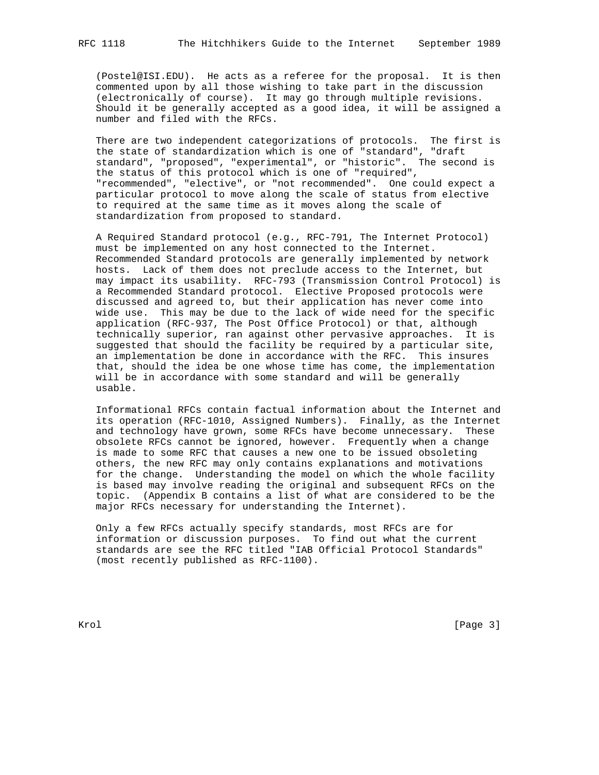(Postel@ISI.EDU). He acts as a referee for the proposal. It is then commented upon by all those wishing to take part in the discussion (electronically of course). It may go through multiple revisions.

 Should it be generally accepted as a good idea, it will be assigned a number and filed with the RFCs.

 There are two independent categorizations of protocols. The first is the state of standardization which is one of "standard", "draft standard", "proposed", "experimental", or "historic". The second is the status of this protocol which is one of "required", "recommended", "elective", or "not recommended". One could expect a particular protocol to move along the scale of status from elective to required at the same time as it moves along the scale of standardization from proposed to standard.

 A Required Standard protocol (e.g., RFC-791, The Internet Protocol) must be implemented on any host connected to the Internet. Recommended Standard protocols are generally implemented by network hosts. Lack of them does not preclude access to the Internet, but may impact its usability. RFC-793 (Transmission Control Protocol) is a Recommended Standard protocol. Elective Proposed protocols were discussed and agreed to, but their application has never come into wide use. This may be due to the lack of wide need for the specific application (RFC-937, The Post Office Protocol) or that, although technically superior, ran against other pervasive approaches. It is suggested that should the facility be required by a particular site, an implementation be done in accordance with the RFC. This insures that, should the idea be one whose time has come, the implementation will be in accordance with some standard and will be generally usable.

 Informational RFCs contain factual information about the Internet and its operation (RFC-1010, Assigned Numbers). Finally, as the Internet and technology have grown, some RFCs have become unnecessary. These obsolete RFCs cannot be ignored, however. Frequently when a change is made to some RFC that causes a new one to be issued obsoleting others, the new RFC may only contains explanations and motivations for the change. Understanding the model on which the whole facility is based may involve reading the original and subsequent RFCs on the topic. (Appendix B contains a list of what are considered to be the major RFCs necessary for understanding the Internet).

 Only a few RFCs actually specify standards, most RFCs are for information or discussion purposes. To find out what the current standards are see the RFC titled "IAB Official Protocol Standards" (most recently published as RFC-1100).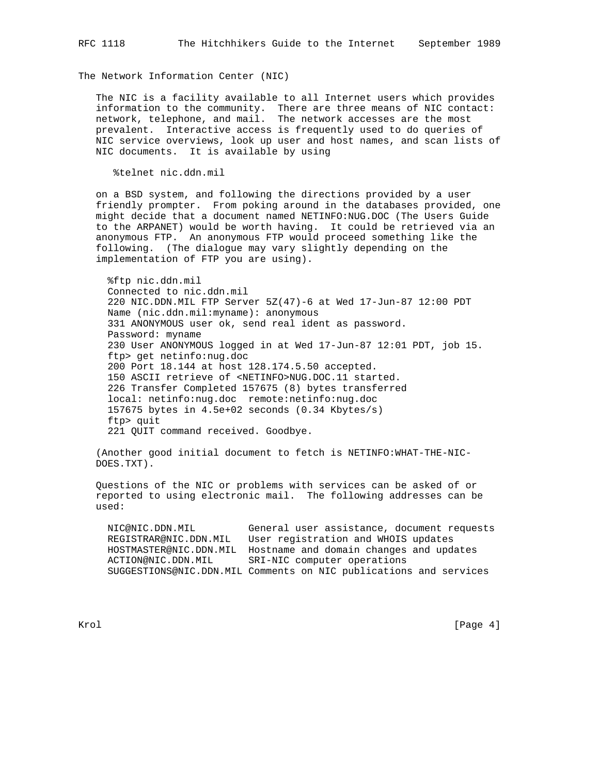The Network Information Center (NIC)

 The NIC is a facility available to all Internet users which provides information to the community. There are three means of NIC contact: network, telephone, and mail. The network accesses are the most prevalent. Interactive access is frequently used to do queries of NIC service overviews, look up user and host names, and scan lists of NIC documents. It is available by using

%telnet nic.ddn.mil

 on a BSD system, and following the directions provided by a user friendly prompter. From poking around in the databases provided, one might decide that a document named NETINFO:NUG.DOC (The Users Guide to the ARPANET) would be worth having. It could be retrieved via an anonymous FTP. An anonymous FTP would proceed something like the following. (The dialogue may vary slightly depending on the implementation of FTP you are using).

 %ftp nic.ddn.mil Connected to nic.ddn.mil 220 NIC.DDN.MIL FTP Server 5Z(47)-6 at Wed 17-Jun-87 12:00 PDT Name (nic.ddn.mil:myname): anonymous 331 ANONYMOUS user ok, send real ident as password. Password: myname 230 User ANONYMOUS logged in at Wed 17-Jun-87 12:01 PDT, job 15. ftp> get netinfo:nug.doc 200 Port 18.144 at host 128.174.5.50 accepted. 150 ASCII retrieve of <NETINFO>NUG.DOC.11 started. 226 Transfer Completed 157675 (8) bytes transferred local: netinfo:nug.doc remote:netinfo:nug.doc 157675 bytes in 4.5e+02 seconds (0.34 Kbytes/s) ftp> quit 221 QUIT command received. Goodbye.

 (Another good initial document to fetch is NETINFO:WHAT-THE-NIC- DOES.TXT).

 Questions of the NIC or problems with services can be asked of or reported to using electronic mail. The following addresses can be used:

 NIC@NIC.DDN.MIL General user assistance, document requests REGISTRAR@NIC.DDN.MIL User registration and WHOIS updates HOSTMASTER@NIC.DDN.MIL Hostname and domain changes and updates ACTION@NIC.DDN.MIL SRI-NIC computer operations SUGGESTIONS@NIC.DDN.MIL Comments on NIC publications and services

Krol [Page 4]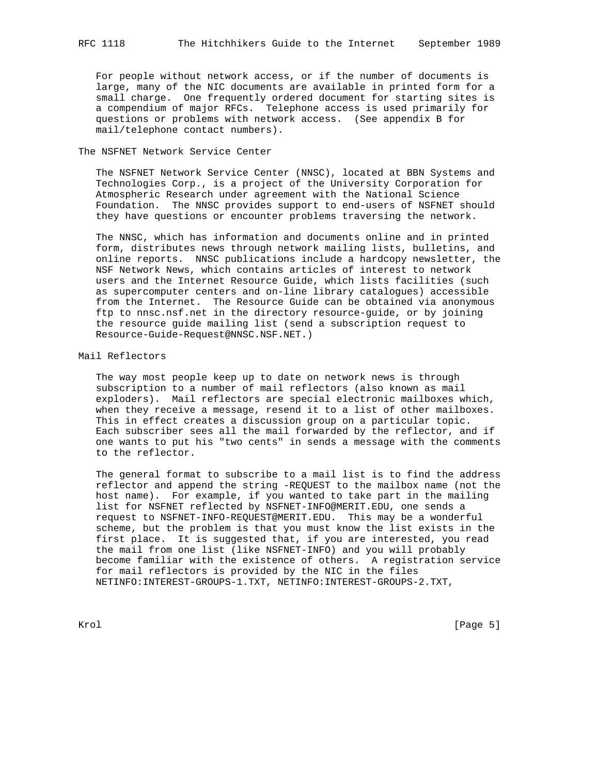For people without network access, or if the number of documents is large, many of the NIC documents are available in printed form for a small charge. One frequently ordered document for starting sites is a compendium of major RFCs. Telephone access is used primarily for questions or problems with network access. (See appendix B for mail/telephone contact numbers).

## The NSFNET Network Service Center

 The NSFNET Network Service Center (NNSC), located at BBN Systems and Technologies Corp., is a project of the University Corporation for Atmospheric Research under agreement with the National Science Foundation. The NNSC provides support to end-users of NSFNET should they have questions or encounter problems traversing the network.

 The NNSC, which has information and documents online and in printed form, distributes news through network mailing lists, bulletins, and online reports. NNSC publications include a hardcopy newsletter, the NSF Network News, which contains articles of interest to network users and the Internet Resource Guide, which lists facilities (such as supercomputer centers and on-line library catalogues) accessible from the Internet. The Resource Guide can be obtained via anonymous ftp to nnsc.nsf.net in the directory resource-guide, or by joining the resource guide mailing list (send a subscription request to Resource-Guide-Request@NNSC.NSF.NET.)

# Mail Reflectors

 The way most people keep up to date on network news is through subscription to a number of mail reflectors (also known as mail exploders). Mail reflectors are special electronic mailboxes which, when they receive a message, resend it to a list of other mailboxes. This in effect creates a discussion group on a particular topic. Each subscriber sees all the mail forwarded by the reflector, and if one wants to put his "two cents" in sends a message with the comments to the reflector.

 The general format to subscribe to a mail list is to find the address reflector and append the string -REQUEST to the mailbox name (not the host name). For example, if you wanted to take part in the mailing list for NSFNET reflected by NSFNET-INFO@MERIT.EDU, one sends a request to NSFNET-INFO-REQUEST@MERIT.EDU. This may be a wonderful scheme, but the problem is that you must know the list exists in the first place. It is suggested that, if you are interested, you read the mail from one list (like NSFNET-INFO) and you will probably become familiar with the existence of others. A registration service for mail reflectors is provided by the NIC in the files NETINFO:INTEREST-GROUPS-1.TXT, NETINFO:INTEREST-GROUPS-2.TXT,

Krol [Page 5]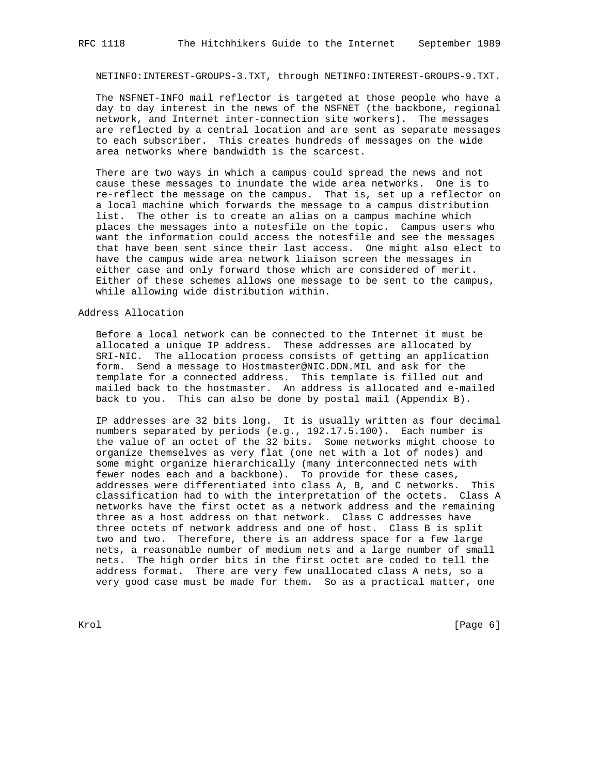NETINFO:INTEREST-GROUPS-3.TXT, through NETINFO:INTEREST-GROUPS-9.TXT.

 The NSFNET-INFO mail reflector is targeted at those people who have a day to day interest in the news of the NSFNET (the backbone, regional network, and Internet inter-connection site workers). The messages are reflected by a central location and are sent as separate messages to each subscriber. This creates hundreds of messages on the wide area networks where bandwidth is the scarcest.

 There are two ways in which a campus could spread the news and not cause these messages to inundate the wide area networks. One is to re-reflect the message on the campus. That is, set up a reflector on a local machine which forwards the message to a campus distribution list. The other is to create an alias on a campus machine which places the messages into a notesfile on the topic. Campus users who want the information could access the notesfile and see the messages that have been sent since their last access. One might also elect to have the campus wide area network liaison screen the messages in either case and only forward those which are considered of merit. Either of these schemes allows one message to be sent to the campus, while allowing wide distribution within.

# Address Allocation

 Before a local network can be connected to the Internet it must be allocated a unique IP address. These addresses are allocated by SRI-NIC. The allocation process consists of getting an application form. Send a message to Hostmaster@NIC.DDN.MIL and ask for the template for a connected address. This template is filled out and mailed back to the hostmaster. An address is allocated and e-mailed back to you. This can also be done by postal mail (Appendix B).

 IP addresses are 32 bits long. It is usually written as four decimal numbers separated by periods (e.g., 192.17.5.100). Each number is the value of an octet of the 32 bits. Some networks might choose to organize themselves as very flat (one net with a lot of nodes) and some might organize hierarchically (many interconnected nets with fewer nodes each and a backbone). To provide for these cases, addresses were differentiated into class A, B, and C networks. This classification had to with the interpretation of the octets. Class A networks have the first octet as a network address and the remaining three as a host address on that network. Class C addresses have three octets of network address and one of host. Class B is split two and two. Therefore, there is an address space for a few large nets, a reasonable number of medium nets and a large number of small nets. The high order bits in the first octet are coded to tell the address format. There are very few unallocated class A nets, so a very good case must be made for them. So as a practical matter, one

Krol [Page 6]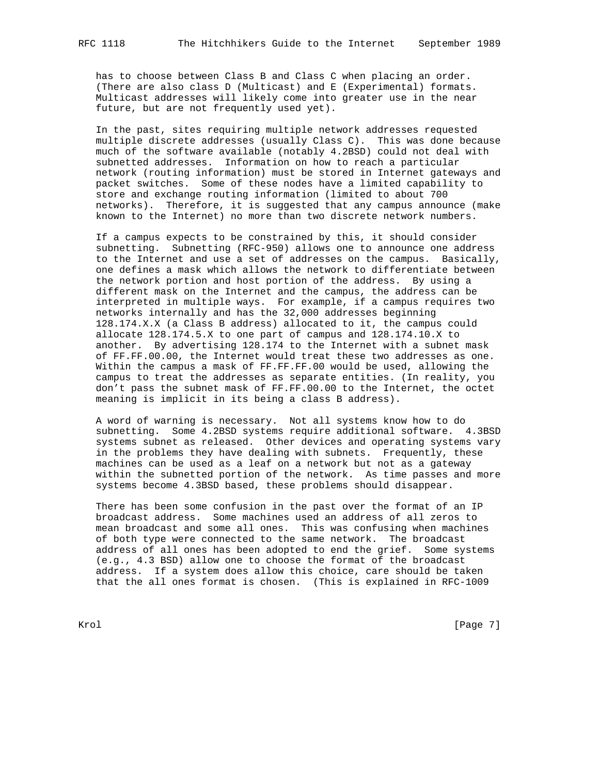has to choose between Class B and Class C when placing an order. (There are also class D (Multicast) and E (Experimental) formats. Multicast addresses will likely come into greater use in the near future, but are not frequently used yet).

 In the past, sites requiring multiple network addresses requested multiple discrete addresses (usually Class C). This was done because much of the software available (notably 4.2BSD) could not deal with subnetted addresses. Information on how to reach a particular network (routing information) must be stored in Internet gateways and packet switches. Some of these nodes have a limited capability to store and exchange routing information (limited to about 700 networks). Therefore, it is suggested that any campus announce (make known to the Internet) no more than two discrete network numbers.

 If a campus expects to be constrained by this, it should consider subnetting. Subnetting (RFC-950) allows one to announce one address to the Internet and use a set of addresses on the campus. Basically, one defines a mask which allows the network to differentiate between the network portion and host portion of the address. By using a different mask on the Internet and the campus, the address can be interpreted in multiple ways. For example, if a campus requires two networks internally and has the 32,000 addresses beginning 128.174.X.X (a Class B address) allocated to it, the campus could allocate 128.174.5.X to one part of campus and 128.174.10.X to another. By advertising 128.174 to the Internet with a subnet mask of FF.FF.00.00, the Internet would treat these two addresses as one. Within the campus a mask of FF.FF.FF.00 would be used, allowing the campus to treat the addresses as separate entities. (In reality, you don't pass the subnet mask of FF.FF.00.00 to the Internet, the octet meaning is implicit in its being a class B address).

 A word of warning is necessary. Not all systems know how to do subnetting. Some 4.2BSD systems require additional software. 4.3BSD systems subnet as released. Other devices and operating systems vary in the problems they have dealing with subnets. Frequently, these machines can be used as a leaf on a network but not as a gateway within the subnetted portion of the network. As time passes and more systems become 4.3BSD based, these problems should disappear.

 There has been some confusion in the past over the format of an IP broadcast address. Some machines used an address of all zeros to mean broadcast and some all ones. This was confusing when machines of both type were connected to the same network. The broadcast address of all ones has been adopted to end the grief. Some systems (e.g., 4.3 BSD) allow one to choose the format of the broadcast address. If a system does allow this choice, care should be taken that the all ones format is chosen. (This is explained in RFC-1009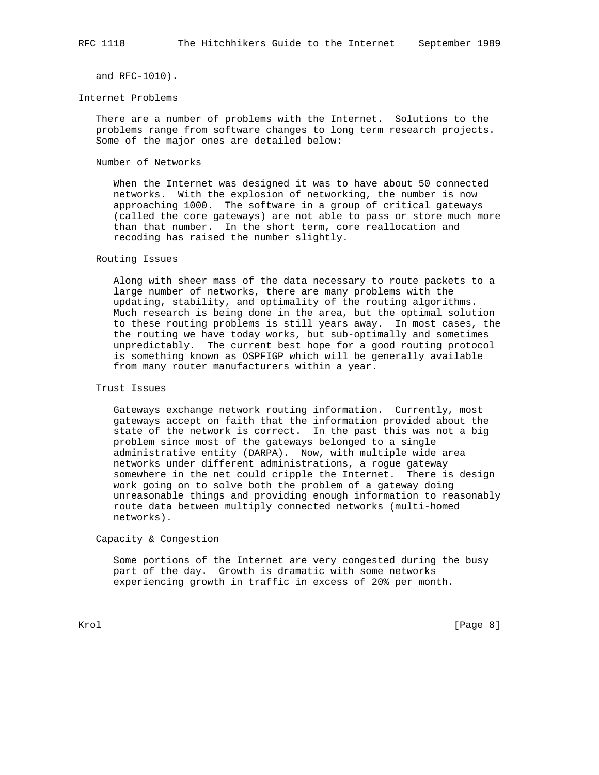and RFC-1010).

#### Internet Problems

 There are a number of problems with the Internet. Solutions to the problems range from software changes to long term research projects. Some of the major ones are detailed below:

# Number of Networks

 When the Internet was designed it was to have about 50 connected networks. With the explosion of networking, the number is now approaching 1000. The software in a group of critical gateways (called the core gateways) are not able to pass or store much more than that number. In the short term, core reallocation and recoding has raised the number slightly.

# Routing Issues

 Along with sheer mass of the data necessary to route packets to a large number of networks, there are many problems with the updating, stability, and optimality of the routing algorithms. Much research is being done in the area, but the optimal solution to these routing problems is still years away. In most cases, the the routing we have today works, but sub-optimally and sometimes unpredictably. The current best hope for a good routing protocol is something known as OSPFIGP which will be generally available from many router manufacturers within a year.

## Trust Issues

 Gateways exchange network routing information. Currently, most gateways accept on faith that the information provided about the state of the network is correct. In the past this was not a big problem since most of the gateways belonged to a single administrative entity (DARPA). Now, with multiple wide area networks under different administrations, a rogue gateway somewhere in the net could cripple the Internet. There is design work going on to solve both the problem of a gateway doing unreasonable things and providing enough information to reasonably route data between multiply connected networks (multi-homed networks).

Capacity & Congestion

 Some portions of the Internet are very congested during the busy part of the day. Growth is dramatic with some networks experiencing growth in traffic in excess of 20% per month.

Krol [Page 8]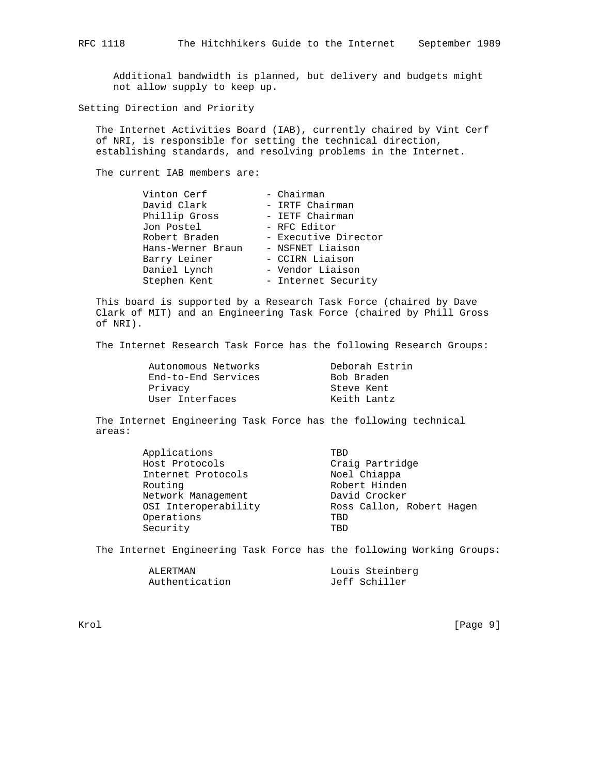Additional bandwidth is planned, but delivery and budgets might not allow supply to keep up.

Setting Direction and Priority

 The Internet Activities Board (IAB), currently chaired by Vint Cerf of NRI, is responsible for setting the technical direction, establishing standards, and resolving problems in the Internet.

The current IAB members are:

| Vinton Cerf       | - Chairman           |
|-------------------|----------------------|
| David Clark       | - IRTF Chairman      |
| Phillip Gross     | - IETF Chairman      |
| Jon Postel        | - RFC Editor         |
| Robert Braden     | - Executive Director |
| Hans-Werner Braun | - NSFNET Liaison     |
| Barry Leiner      | - CCIRN Liaison      |
| Daniel Lynch      | - Vendor Liaison     |
| Stephen Kent      | - Internet Security  |

 This board is supported by a Research Task Force (chaired by Dave Clark of MIT) and an Engineering Task Force (chaired by Phill Gross of NRI).

The Internet Research Task Force has the following Research Groups:

| Autonomous Networks | Deborah Estrin |
|---------------------|----------------|
| End-to-End Services | Bob Braden     |
| Privacy             | Steve Kent     |
| User Interfaces     | Keith Lantz    |

 The Internet Engineering Task Force has the following technical areas:

| Applications         | TBD                       |
|----------------------|---------------------------|
| Host Protocols       | Craig Partridge           |
| Internet Protocols   | Noel Chiappa              |
| Routing              | Robert Hinden             |
| Network Management   | David Crocker             |
| OSI Interoperability | Ross Callon, Robert Hagen |
| Operations           | TBD                       |
| Security             | TBD                       |

The Internet Engineering Task Force has the following Working Groups:

| ALERTMAN       | Louis Steinberg |
|----------------|-----------------|
| Authentication | Jeff Schiller   |

Krol [Page 9]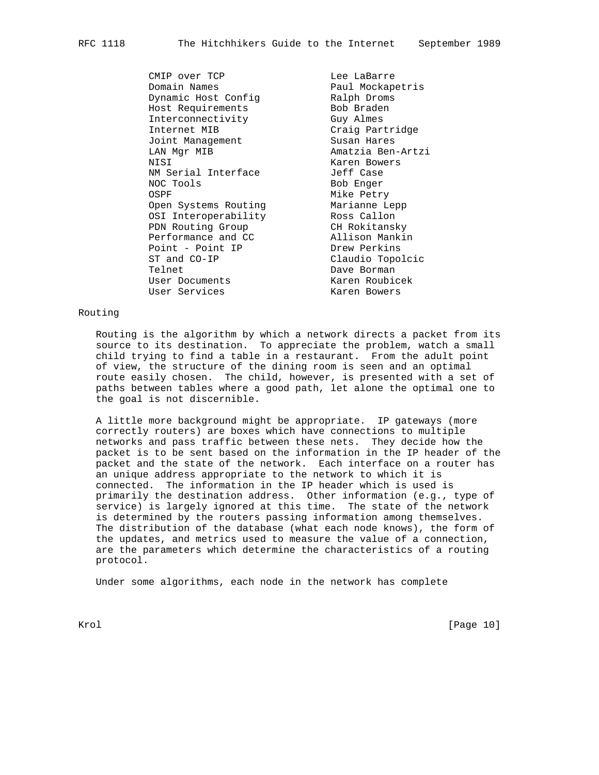CMIP over TCP and Lee LaBarre<br>
Domain Names and Daul Mockapetris Domain Names **Paul Mockapetris** Dynamic Host Config **Example Ralph Droms** Host Requirements The Bob Braden nd The Requirements<br>
Interconnectivity Guy Almes Internet MIB<br>Joint Management Craig Partridge Joint Management LAN Mgr MIB Amatzia Ben-Artzi NISI Karen Bowers NM Serial Interface **Jeff Case** NOC Tools Bob Enger OSPF **Mike Petry**  Open Systems Routing Marianne Lepp OSI Interoperability Ross Callon PDN Routing Group CH Rokitansky Performance and CC allison Mankin Point - Point IP Drew Perkins ST and CO-IP Claudio Topolcic Telnet **Dave Borman** User Documents Karen Roubicek

User Services and Maren Bowers

# Routing

 Routing is the algorithm by which a network directs a packet from its source to its destination. To appreciate the problem, watch a small child trying to find a table in a restaurant. From the adult point of view, the structure of the dining room is seen and an optimal route easily chosen. The child, however, is presented with a set of paths between tables where a good path, let alone the optimal one to the goal is not discernible.

 A little more background might be appropriate. IP gateways (more correctly routers) are boxes which have connections to multiple networks and pass traffic between these nets. They decide how the packet is to be sent based on the information in the IP header of the packet and the state of the network. Each interface on a router has an unique address appropriate to the network to which it is connected. The information in the IP header which is used is primarily the destination address. Other information (e.g., type of service) is largely ignored at this time. The state of the network is determined by the routers passing information among themselves. The distribution of the database (what each node knows), the form of the updates, and metrics used to measure the value of a connection, are the parameters which determine the characteristics of a routing protocol.

Under some algorithms, each node in the network has complete

Krol [Page 10]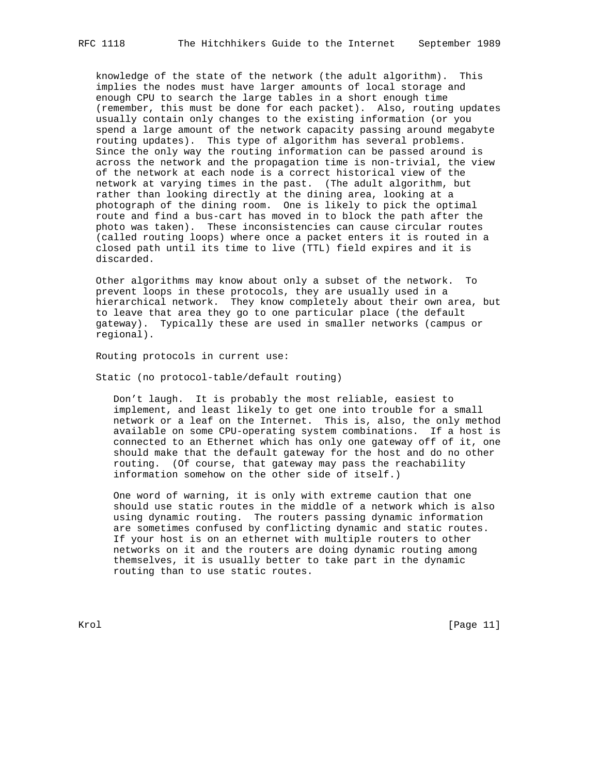knowledge of the state of the network (the adult algorithm). This implies the nodes must have larger amounts of local storage and enough CPU to search the large tables in a short enough time (remember, this must be done for each packet). Also, routing updates usually contain only changes to the existing information (or you spend a large amount of the network capacity passing around megabyte routing updates). This type of algorithm has several problems. Since the only way the routing information can be passed around is across the network and the propagation time is non-trivial, the view of the network at each node is a correct historical view of the network at varying times in the past. (The adult algorithm, but rather than looking directly at the dining area, looking at a photograph of the dining room. One is likely to pick the optimal route and find a bus-cart has moved in to block the path after the photo was taken). These inconsistencies can cause circular routes (called routing loops) where once a packet enters it is routed in a closed path until its time to live (TTL) field expires and it is discarded.

 Other algorithms may know about only a subset of the network. To prevent loops in these protocols, they are usually used in a hierarchical network. They know completely about their own area, but to leave that area they go to one particular place (the default gateway). Typically these are used in smaller networks (campus or regional).

Routing protocols in current use:

Static (no protocol-table/default routing)

 Don't laugh. It is probably the most reliable, easiest to implement, and least likely to get one into trouble for a small network or a leaf on the Internet. This is, also, the only method available on some CPU-operating system combinations. If a host is connected to an Ethernet which has only one gateway off of it, one should make that the default gateway for the host and do no other routing. (Of course, that gateway may pass the reachability information somehow on the other side of itself.)

 One word of warning, it is only with extreme caution that one should use static routes in the middle of a network which is also using dynamic routing. The routers passing dynamic information are sometimes confused by conflicting dynamic and static routes. If your host is on an ethernet with multiple routers to other networks on it and the routers are doing dynamic routing among themselves, it is usually better to take part in the dynamic routing than to use static routes.

Krol [Page 11]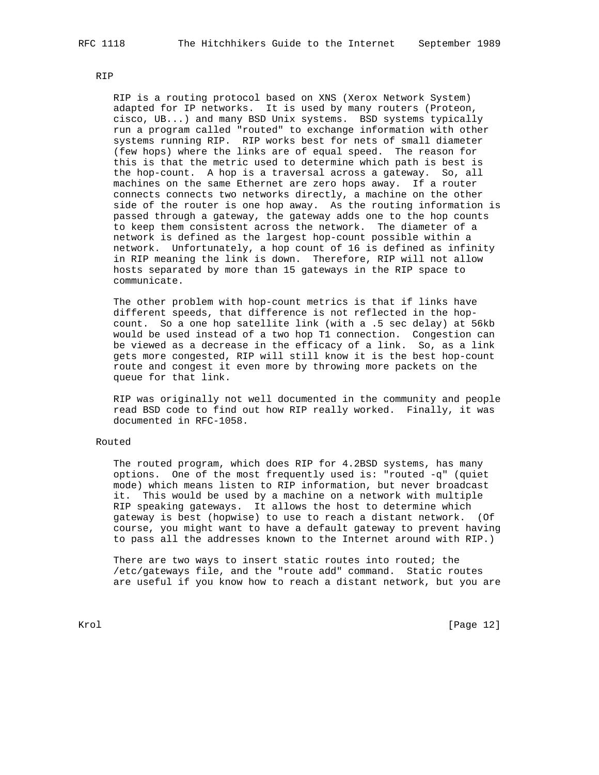RIP

 RIP is a routing protocol based on XNS (Xerox Network System) adapted for IP networks. It is used by many routers (Proteon, cisco, UB...) and many BSD Unix systems. BSD systems typically run a program called "routed" to exchange information with other systems running RIP. RIP works best for nets of small diameter (few hops) where the links are of equal speed. The reason for this is that the metric used to determine which path is best is the hop-count. A hop is a traversal across a gateway. So, all machines on the same Ethernet are zero hops away. If a router connects connects two networks directly, a machine on the other side of the router is one hop away. As the routing information is passed through a gateway, the gateway adds one to the hop counts to keep them consistent across the network. The diameter of a network is defined as the largest hop-count possible within a network. Unfortunately, a hop count of 16 is defined as infinity in RIP meaning the link is down. Therefore, RIP will not allow hosts separated by more than 15 gateways in the RIP space to communicate.

 The other problem with hop-count metrics is that if links have different speeds, that difference is not reflected in the hop count. So a one hop satellite link (with a .5 sec delay) at 56kb would be used instead of a two hop T1 connection. Congestion can be viewed as a decrease in the efficacy of a link. So, as a link gets more congested, RIP will still know it is the best hop-count route and congest it even more by throwing more packets on the queue for that link.

 RIP was originally not well documented in the community and people read BSD code to find out how RIP really worked. Finally, it was documented in RFC-1058.

# Routed

 The routed program, which does RIP for 4.2BSD systems, has many options. One of the most frequently used is: "routed -q" (quiet mode) which means listen to RIP information, but never broadcast it. This would be used by a machine on a network with multiple RIP speaking gateways. It allows the host to determine which gateway is best (hopwise) to use to reach a distant network. (Of course, you might want to have a default gateway to prevent having to pass all the addresses known to the Internet around with RIP.)

 There are two ways to insert static routes into routed; the /etc/gateways file, and the "route add" command. Static routes are useful if you know how to reach a distant network, but you are

Krol [Page 12]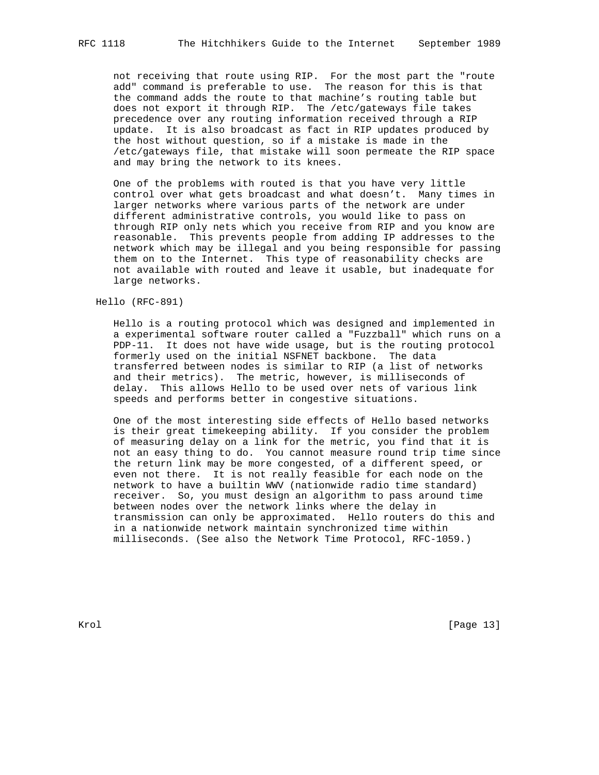not receiving that route using RIP. For the most part the "route add" command is preferable to use. The reason for this is that the command adds the route to that machine's routing table but does not export it through RIP. The /etc/gateways file takes precedence over any routing information received through a RIP update. It is also broadcast as fact in RIP updates produced by the host without question, so if a mistake is made in the /etc/gateways file, that mistake will soon permeate the RIP space and may bring the network to its knees.

 One of the problems with routed is that you have very little control over what gets broadcast and what doesn't. Many times in larger networks where various parts of the network are under different administrative controls, you would like to pass on through RIP only nets which you receive from RIP and you know are reasonable. This prevents people from adding IP addresses to the network which may be illegal and you being responsible for passing them on to the Internet. This type of reasonability checks are not available with routed and leave it usable, but inadequate for large networks.

Hello (RFC-891)

 Hello is a routing protocol which was designed and implemented in a experimental software router called a "Fuzzball" which runs on a PDP-11. It does not have wide usage, but is the routing protocol formerly used on the initial NSFNET backbone. The data transferred between nodes is similar to RIP (a list of networks and their metrics). The metric, however, is milliseconds of delay. This allows Hello to be used over nets of various link speeds and performs better in congestive situations.

 One of the most interesting side effects of Hello based networks is their great timekeeping ability. If you consider the problem of measuring delay on a link for the metric, you find that it is not an easy thing to do. You cannot measure round trip time since the return link may be more congested, of a different speed, or even not there. It is not really feasible for each node on the network to have a builtin WWV (nationwide radio time standard) receiver. So, you must design an algorithm to pass around time between nodes over the network links where the delay in transmission can only be approximated. Hello routers do this and in a nationwide network maintain synchronized time within milliseconds. (See also the Network Time Protocol, RFC-1059.)

Krol [Page 13]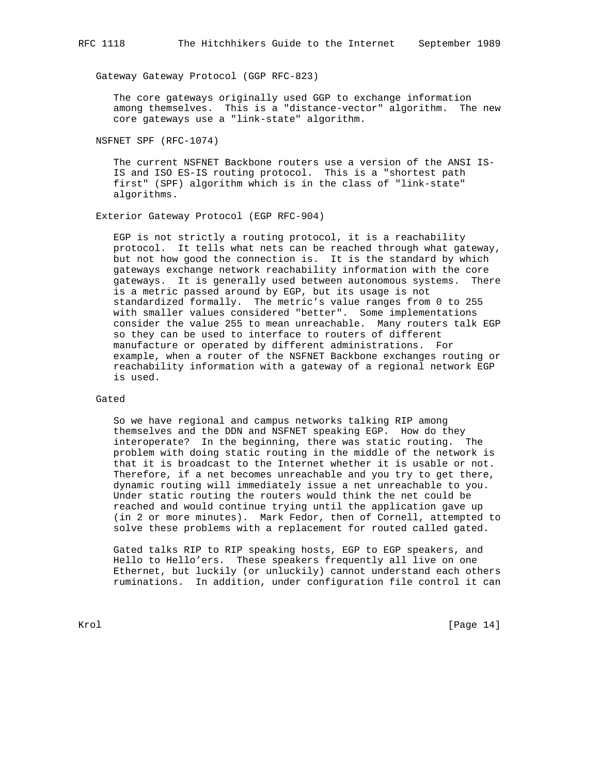Gateway Gateway Protocol (GGP RFC-823)

 The core gateways originally used GGP to exchange information among themselves. This is a "distance-vector" algorithm. The new core gateways use a "link-state" algorithm.

NSFNET SPF (RFC-1074)

 The current NSFNET Backbone routers use a version of the ANSI IS- IS and ISO ES-IS routing protocol. This is a "shortest path first" (SPF) algorithm which is in the class of "link-state" algorithms.

Exterior Gateway Protocol (EGP RFC-904)

 EGP is not strictly a routing protocol, it is a reachability protocol. It tells what nets can be reached through what gateway, but not how good the connection is. It is the standard by which gateways exchange network reachability information with the core gateways. It is generally used between autonomous systems. There is a metric passed around by EGP, but its usage is not standardized formally. The metric's value ranges from 0 to 255 with smaller values considered "better". Some implementations consider the value 255 to mean unreachable. Many routers talk EGP so they can be used to interface to routers of different manufacture or operated by different administrations. For example, when a router of the NSFNET Backbone exchanges routing or reachability information with a gateway of a regional network EGP is used.

# Gated

 So we have regional and campus networks talking RIP among themselves and the DDN and NSFNET speaking EGP. How do they interoperate? In the beginning, there was static routing. The problem with doing static routing in the middle of the network is that it is broadcast to the Internet whether it is usable or not. Therefore, if a net becomes unreachable and you try to get there, dynamic routing will immediately issue a net unreachable to you. Under static routing the routers would think the net could be reached and would continue trying until the application gave up (in 2 or more minutes). Mark Fedor, then of Cornell, attempted to solve these problems with a replacement for routed called gated.

 Gated talks RIP to RIP speaking hosts, EGP to EGP speakers, and Hello to Hello'ers. These speakers frequently all live on one Ethernet, but luckily (or unluckily) cannot understand each others ruminations. In addition, under configuration file control it can

Krol [Page 14]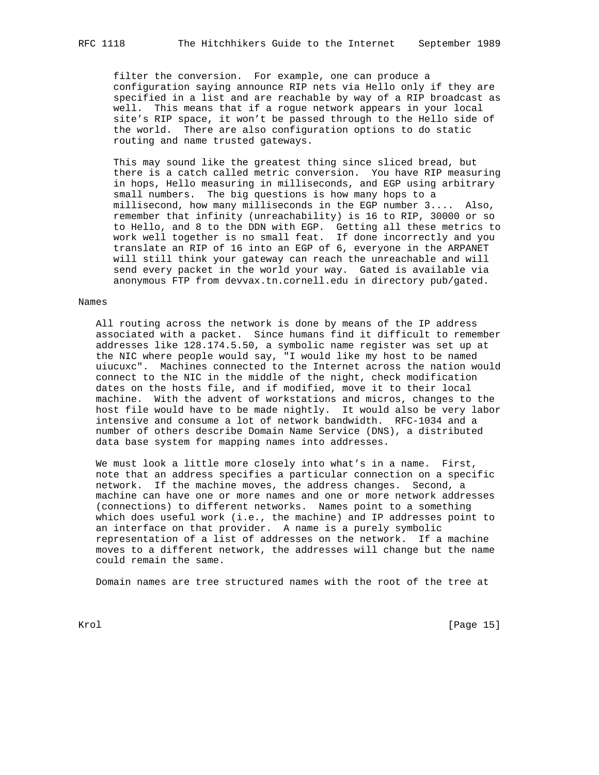filter the conversion. For example, one can produce a configuration saying announce RIP nets via Hello only if they are specified in a list and are reachable by way of a RIP broadcast as well. This means that if a rogue network appears in your local site's RIP space, it won't be passed through to the Hello side of the world. There are also configuration options to do static routing and name trusted gateways.

 This may sound like the greatest thing since sliced bread, but there is a catch called metric conversion. You have RIP measuring in hops, Hello measuring in milliseconds, and EGP using arbitrary small numbers. The big questions is how many hops to a millisecond, how many milliseconds in the EGP number 3.... Also, remember that infinity (unreachability) is 16 to RIP, 30000 or so to Hello, and 8 to the DDN with EGP. Getting all these metrics to work well together is no small feat. If done incorrectly and you translate an RIP of 16 into an EGP of 6, everyone in the ARPANET will still think your gateway can reach the unreachable and will send every packet in the world your way. Gated is available via anonymous FTP from devvax.tn.cornell.edu in directory pub/gated.

# Names

 All routing across the network is done by means of the IP address associated with a packet. Since humans find it difficult to remember addresses like 128.174.5.50, a symbolic name register was set up at the NIC where people would say, "I would like my host to be named uiucuxc". Machines connected to the Internet across the nation would connect to the NIC in the middle of the night, check modification dates on the hosts file, and if modified, move it to their local machine. With the advent of workstations and micros, changes to the host file would have to be made nightly. It would also be very labor intensive and consume a lot of network bandwidth. RFC-1034 and a number of others describe Domain Name Service (DNS), a distributed data base system for mapping names into addresses.

 We must look a little more closely into what's in a name. First, note that an address specifies a particular connection on a specific network. If the machine moves, the address changes. Second, a machine can have one or more names and one or more network addresses (connections) to different networks. Names point to a something which does useful work (i.e., the machine) and IP addresses point to an interface on that provider. A name is a purely symbolic representation of a list of addresses on the network. If a machine moves to a different network, the addresses will change but the name could remain the same.

Domain names are tree structured names with the root of the tree at

Krol [Page 15]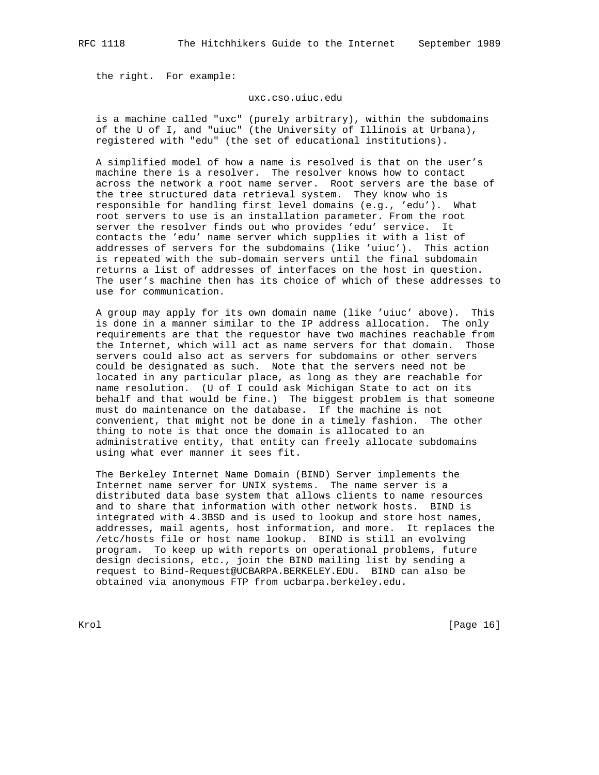the right. For example:

#### uxc.cso.uiuc.edu

 is a machine called "uxc" (purely arbitrary), within the subdomains of the U of I, and "uiuc" (the University of Illinois at Urbana), registered with "edu" (the set of educational institutions).

 A simplified model of how a name is resolved is that on the user's machine there is a resolver. The resolver knows how to contact across the network a root name server. Root servers are the base of the tree structured data retrieval system. They know who is responsible for handling first level domains (e.g., 'edu'). What root servers to use is an installation parameter. From the root server the resolver finds out who provides 'edu' service. It contacts the 'edu' name server which supplies it with a list of addresses of servers for the subdomains (like 'uiuc'). This action is repeated with the sub-domain servers until the final subdomain returns a list of addresses of interfaces on the host in question. The user's machine then has its choice of which of these addresses to use for communication.

 A group may apply for its own domain name (like 'uiuc' above). This is done in a manner similar to the IP address allocation. The only requirements are that the requestor have two machines reachable from the Internet, which will act as name servers for that domain. Those servers could also act as servers for subdomains or other servers could be designated as such. Note that the servers need not be located in any particular place, as long as they are reachable for name resolution. (U of I could ask Michigan State to act on its behalf and that would be fine.) The biggest problem is that someone must do maintenance on the database. If the machine is not convenient, that might not be done in a timely fashion. The other thing to note is that once the domain is allocated to an administrative entity, that entity can freely allocate subdomains using what ever manner it sees fit.

 The Berkeley Internet Name Domain (BIND) Server implements the Internet name server for UNIX systems. The name server is a distributed data base system that allows clients to name resources and to share that information with other network hosts. BIND is integrated with 4.3BSD and is used to lookup and store host names, addresses, mail agents, host information, and more. It replaces the /etc/hosts file or host name lookup. BIND is still an evolving program. To keep up with reports on operational problems, future design decisions, etc., join the BIND mailing list by sending a request to Bind-Request@UCBARPA.BERKELEY.EDU. BIND can also be obtained via anonymous FTP from ucbarpa.berkeley.edu.

Krol [Page 16]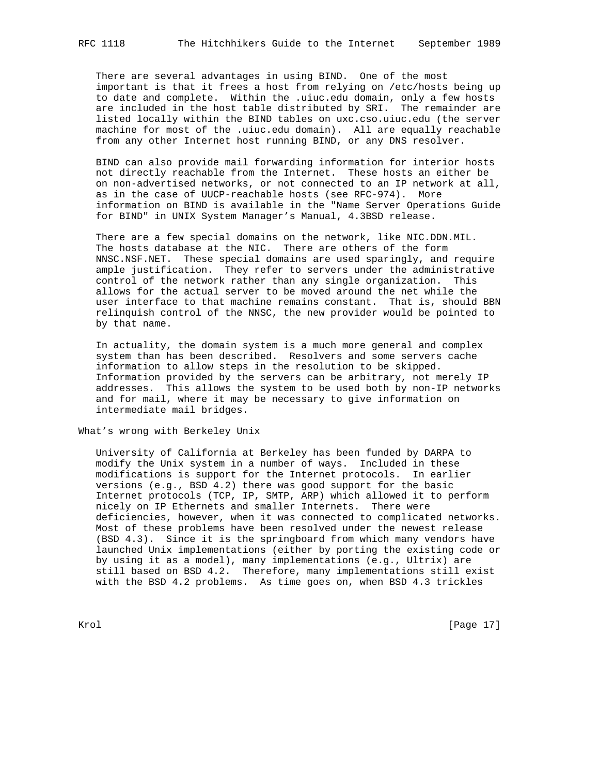There are several advantages in using BIND. One of the most important is that it frees a host from relying on /etc/hosts being up to date and complete. Within the .uiuc.edu domain, only a few hosts are included in the host table distributed by SRI. The remainder are listed locally within the BIND tables on uxc.cso.uiuc.edu (the server machine for most of the .uiuc.edu domain). All are equally reachable from any other Internet host running BIND, or any DNS resolver.

 BIND can also provide mail forwarding information for interior hosts not directly reachable from the Internet. These hosts an either be on non-advertised networks, or not connected to an IP network at all, as in the case of UUCP-reachable hosts (see RFC-974). More information on BIND is available in the "Name Server Operations Guide for BIND" in UNIX System Manager's Manual, 4.3BSD release.

 There are a few special domains on the network, like NIC.DDN.MIL. The hosts database at the NIC. There are others of the form NNSC.NSF.NET. These special domains are used sparingly, and require ample justification. They refer to servers under the administrative control of the network rather than any single organization. This allows for the actual server to be moved around the net while the user interface to that machine remains constant. That is, should BBN relinquish control of the NNSC, the new provider would be pointed to by that name.

 In actuality, the domain system is a much more general and complex system than has been described. Resolvers and some servers cache information to allow steps in the resolution to be skipped. Information provided by the servers can be arbitrary, not merely IP addresses. This allows the system to be used both by non-IP networks and for mail, where it may be necessary to give information on intermediate mail bridges.

What's wrong with Berkeley Unix

 University of California at Berkeley has been funded by DARPA to modify the Unix system in a number of ways. Included in these modifications is support for the Internet protocols. In earlier versions (e.g., BSD 4.2) there was good support for the basic Internet protocols (TCP, IP, SMTP, ARP) which allowed it to perform nicely on IP Ethernets and smaller Internets. There were deficiencies, however, when it was connected to complicated networks. Most of these problems have been resolved under the newest release (BSD 4.3). Since it is the springboard from which many vendors have launched Unix implementations (either by porting the existing code or by using it as a model), many implementations (e.g., Ultrix) are still based on BSD 4.2. Therefore, many implementations still exist with the BSD 4.2 problems. As time goes on, when BSD 4.3 trickles

Krol [Page 17]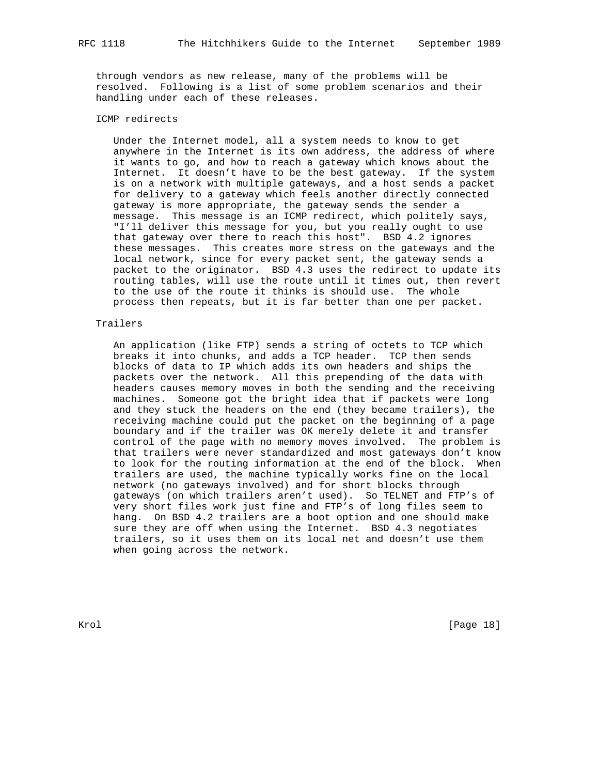through vendors as new release, many of the problems will be resolved. Following is a list of some problem scenarios and their handling under each of these releases.

# ICMP redirects

 Under the Internet model, all a system needs to know to get anywhere in the Internet is its own address, the address of where it wants to go, and how to reach a gateway which knows about the Internet. It doesn't have to be the best gateway. If the system is on a network with multiple gateways, and a host sends a packet for delivery to a gateway which feels another directly connected gateway is more appropriate, the gateway sends the sender a message. This message is an ICMP redirect, which politely says, "I'll deliver this message for you, but you really ought to use that gateway over there to reach this host". BSD 4.2 ignores these messages. This creates more stress on the gateways and the local network, since for every packet sent, the gateway sends a packet to the originator. BSD 4.3 uses the redirect to update its routing tables, will use the route until it times out, then revert to the use of the route it thinks is should use. The whole process then repeats, but it is far better than one per packet.

# Trailers

 An application (like FTP) sends a string of octets to TCP which breaks it into chunks, and adds a TCP header. TCP then sends blocks of data to IP which adds its own headers and ships the packets over the network. All this prepending of the data with headers causes memory moves in both the sending and the receiving machines. Someone got the bright idea that if packets were long and they stuck the headers on the end (they became trailers), the receiving machine could put the packet on the beginning of a page boundary and if the trailer was OK merely delete it and transfer control of the page with no memory moves involved. The problem is that trailers were never standardized and most gateways don't know to look for the routing information at the end of the block. When trailers are used, the machine typically works fine on the local network (no gateways involved) and for short blocks through gateways (on which trailers aren't used). So TELNET and FTP's of very short files work just fine and FTP's of long files seem to hang. On BSD 4.2 trailers are a boot option and one should make sure they are off when using the Internet. BSD 4.3 negotiates trailers, so it uses them on its local net and doesn't use them when going across the network.

Krol [Page 18]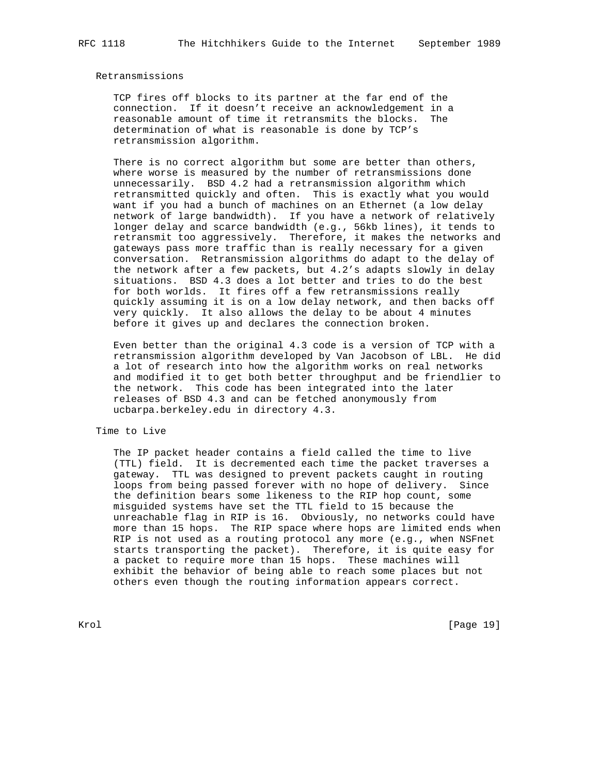# Retransmissions

 TCP fires off blocks to its partner at the far end of the connection. If it doesn't receive an acknowledgement in a reasonable amount of time it retransmits the blocks. The determination of what is reasonable is done by TCP's retransmission algorithm.

There is no correct algorithm but some are better than others, where worse is measured by the number of retransmissions done unnecessarily. BSD 4.2 had a retransmission algorithm which retransmitted quickly and often. This is exactly what you would want if you had a bunch of machines on an Ethernet (a low delay network of large bandwidth). If you have a network of relatively longer delay and scarce bandwidth (e.g., 56kb lines), it tends to retransmit too aggressively. Therefore, it makes the networks and gateways pass more traffic than is really necessary for a given conversation. Retransmission algorithms do adapt to the delay of the network after a few packets, but 4.2's adapts slowly in delay situations. BSD 4.3 does a lot better and tries to do the best for both worlds. It fires off a few retransmissions really quickly assuming it is on a low delay network, and then backs off very quickly. It also allows the delay to be about 4 minutes before it gives up and declares the connection broken.

 Even better than the original 4.3 code is a version of TCP with a retransmission algorithm developed by Van Jacobson of LBL. He did a lot of research into how the algorithm works on real networks and modified it to get both better throughput and be friendlier to the network. This code has been integrated into the later releases of BSD 4.3 and can be fetched anonymously from ucbarpa.berkeley.edu in directory 4.3.

#### Time to Live

 The IP packet header contains a field called the time to live (TTL) field. It is decremented each time the packet traverses a gateway. TTL was designed to prevent packets caught in routing loops from being passed forever with no hope of delivery. Since the definition bears some likeness to the RIP hop count, some misguided systems have set the TTL field to 15 because the unreachable flag in RIP is 16. Obviously, no networks could have more than 15 hops. The RIP space where hops are limited ends when RIP is not used as a routing protocol any more (e.g., when NSFnet starts transporting the packet). Therefore, it is quite easy for a packet to require more than 15 hops. These machines will exhibit the behavior of being able to reach some places but not others even though the routing information appears correct.

Krol [Page 19]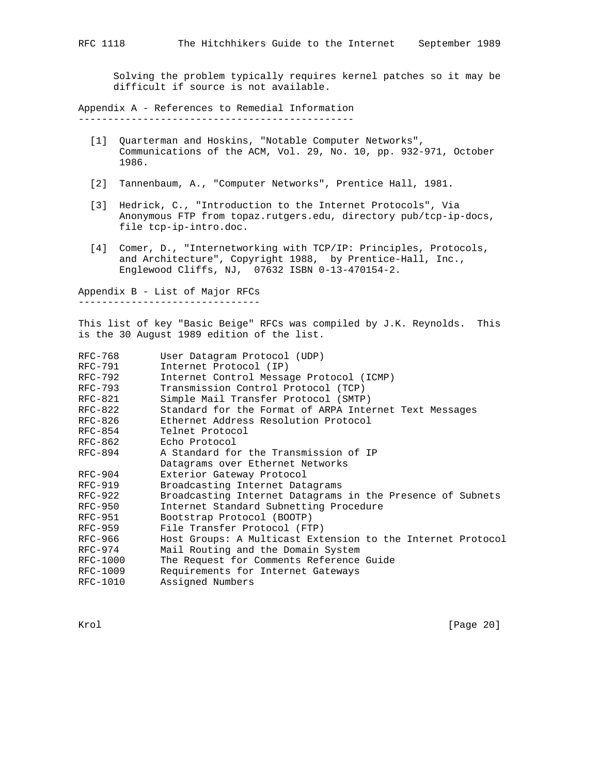Solving the problem typically requires kernel patches so it may be difficult if source is not available.

Appendix A - References to Remedial Information -----------------------------------------------

- [1] Quarterman and Hoskins, "Notable Computer Networks", Communications of the ACM, Vol. 29, No. 10, pp. 932-971, October 1986.
- [2] Tannenbaum, A., "Computer Networks", Prentice Hall, 1981.
- [3] Hedrick, C., "Introduction to the Internet Protocols", Via Anonymous FTP from topaz.rutgers.edu, directory pub/tcp-ip-docs, file tcp-ip-intro.doc.
- [4] Comer, D., "Internetworking with TCP/IP: Principles, Protocols, and Architecture", Copyright 1988, by Prentice-Hall, Inc., Englewood Cliffs, NJ, 07632 ISBN 0-13-470154-2.

Appendix B - List of Major RFCs -------------------------------

This list of key "Basic Beige" RFCs was compiled by J.K. Reynolds. This is the 30 August 1989 edition of the list.

| RFC-768   | User Datagram Protocol (UDP)                                |
|-----------|-------------------------------------------------------------|
| RFC-791   | Internet Protocol (IP)                                      |
| RFC-792   | Internet Control Message Protocol (ICMP)                    |
| RFC-793   | Transmission Control Protocol (TCP)                         |
| $RFC-821$ | Simple Mail Transfer Protocol (SMTP)                        |
| RFC-822   | Standard for the Format of ARPA Internet Text Messages      |
| RFC-826   | Ethernet Address Resolution Protocol                        |
| RFC-854   | Telnet Protocol                                             |
| RFC-862   | Echo Protocol                                               |
| RFC-894   | A Standard for the Transmission of IP                       |
|           | Datagrams over Ethernet Networks                            |
| $RFC-904$ | Exterior Gateway Protocol                                   |
| RFC-919   | Broadcasting Internet Datagrams                             |
| $RFC-922$ | Broadcasting Internet Datagrams in the Presence of Subnets  |
| RFC-950   | Internet Standard Subnetting Procedure                      |
| RFC-951   | Bootstrap Protocol (BOOTP)                                  |
| RFC-959   | File Transfer Protocol (FTP)                                |
| RFC-966   | Host Groups: A Multicast Extension to the Internet Protocol |
| $RFC-974$ | Mail Routing and the Domain System                          |
| RFC-1000  | The Request for Comments Reference Guide                    |
| RFC-1009  | Requirements for Internet Gateways                          |
| RFC-1010  | Assigned Numbers                                            |
|           |                                                             |

Krol [Page 20]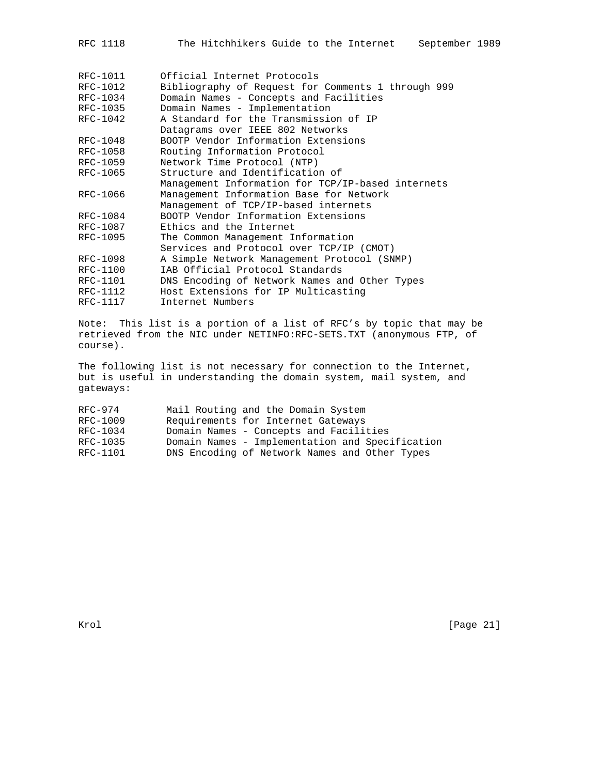| The Hitchhikers Guide to the Internet<br>September 1989<br>RFC 1118 |  |  |  |  |  |  |  |  |  |  |  |
|---------------------------------------------------------------------|--|--|--|--|--|--|--|--|--|--|--|
|---------------------------------------------------------------------|--|--|--|--|--|--|--|--|--|--|--|

| RFC-1011 | Official Internet Protocols                        |
|----------|----------------------------------------------------|
| RFC-1012 | Bibliography of Request for Comments 1 through 999 |
| RFC-1034 | Domain Names - Concepts and Facilities             |
| RFC-1035 | Domain Names - Implementation                      |
| RFC-1042 | A Standard for the Transmission of IP              |
|          | Datagrams over IEEE 802 Networks                   |
| RFC-1048 | BOOTP Vendor Information Extensions                |
| RFC-1058 | Routing Information Protocol                       |
| RFC-1059 | Network Time Protocol (NTP)                        |
| RFC-1065 | Structure and Identification of                    |
|          | Management Information for TCP/IP-based internets  |
| RFC-1066 | Management Information Base for Network            |
|          | Management of TCP/IP-based internets               |
| RFC-1084 | BOOTP Vendor Information Extensions                |
| RFC-1087 | Ethics and the Internet                            |
| RFC-1095 | The Common Management Information                  |
|          | Services and Protocol over TCP/IP (CMOT)           |
| RFC-1098 | A Simple Network Management Protocol (SNMP)        |
| RFC-1100 | IAB Official Protocol Standards                    |
| RFC-1101 | DNS Encoding of Network Names and Other Types      |
| RFC-1112 | Host Extensions for IP Multicasting                |
| RFC-1117 | Internet Numbers                                   |

Note: This list is a portion of a list of RFC's by topic that may be retrieved from the NIC under NETINFO:RFC-SETS.TXT (anonymous FTP, of course).

The following list is not necessary for connection to the Internet, but is useful in understanding the domain system, mail system, and gateways:

| $RFC-974$ | Mail Routing and the Domain System              |
|-----------|-------------------------------------------------|
| RFC-1009  | Requirements for Internet Gateways              |
| RFC-1034  | Domain Names - Concepts and Facilities          |
| RFC-1035  | Domain Names - Implementation and Specification |
| RFC-1101  | DNS Encoding of Network Names and Other Types   |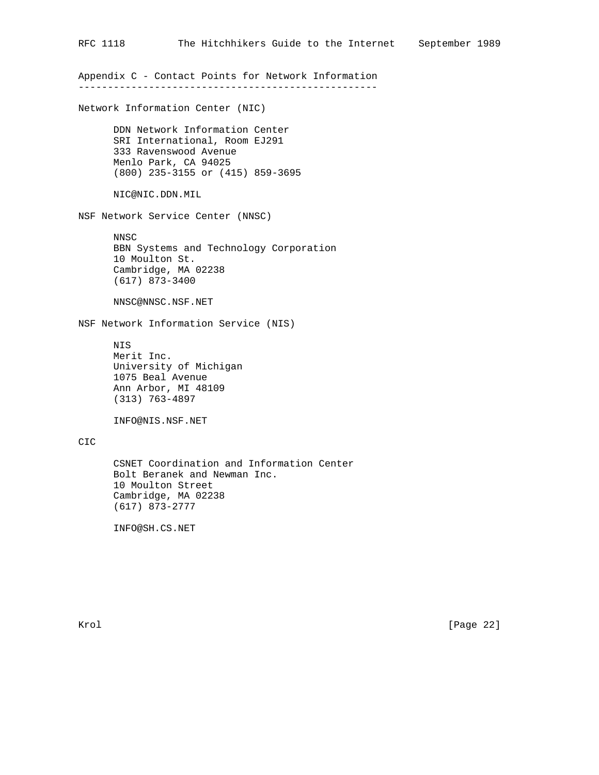Appendix C - Contact Points for Network Information ---------------------------------------------------

Network Information Center (NIC)

 DDN Network Information Center SRI International, Room EJ291 333 Ravenswood Avenue Menlo Park, CA 94025 (800) 235-3155 or (415) 859-3695

NIC@NIC.DDN.MIL

NSF Network Service Center (NNSC)

 NNSC BBN Systems and Technology Corporation 10 Moulton St. Cambridge, MA 02238 (617) 873-3400

NNSC@NNSC.NSF.NET

NSF Network Information Service (NIS)

 NIS Merit Inc. University of Michigan 1075 Beal Avenue Ann Arbor, MI 48109 (313) 763-4897

INFO@NIS.NSF.NET

# CIC

 CSNET Coordination and Information Center Bolt Beranek and Newman Inc. 10 Moulton Street Cambridge, MA 02238 (617) 873-2777

INFO@SH.CS.NET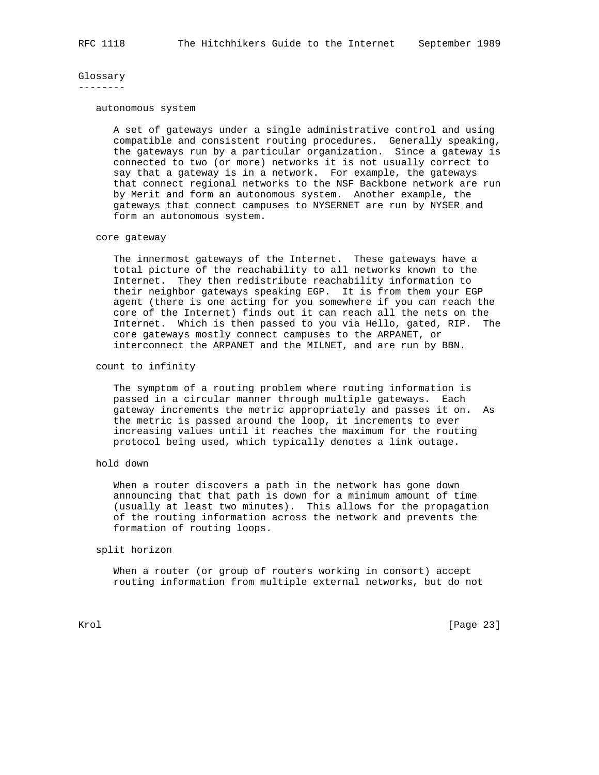# Glossary

--------

#### autonomous system

 A set of gateways under a single administrative control and using compatible and consistent routing procedures. Generally speaking, the gateways run by a particular organization. Since a gateway is connected to two (or more) networks it is not usually correct to say that a gateway is in a network. For example, the gateways that connect regional networks to the NSF Backbone network are run by Merit and form an autonomous system. Another example, the gateways that connect campuses to NYSERNET are run by NYSER and form an autonomous system.

#### core gateway

 The innermost gateways of the Internet. These gateways have a total picture of the reachability to all networks known to the Internet. They then redistribute reachability information to their neighbor gateways speaking EGP. It is from them your EGP agent (there is one acting for you somewhere if you can reach the core of the Internet) finds out it can reach all the nets on the Internet. Which is then passed to you via Hello, gated, RIP. The core gateways mostly connect campuses to the ARPANET, or interconnect the ARPANET and the MILNET, and are run by BBN.

# count to infinity

 The symptom of a routing problem where routing information is passed in a circular manner through multiple gateways. Each gateway increments the metric appropriately and passes it on. As the metric is passed around the loop, it increments to ever increasing values until it reaches the maximum for the routing protocol being used, which typically denotes a link outage.

# hold down

 When a router discovers a path in the network has gone down announcing that that path is down for a minimum amount of time (usually at least two minutes). This allows for the propagation of the routing information across the network and prevents the formation of routing loops.

#### split horizon

 When a router (or group of routers working in consort) accept routing information from multiple external networks, but do not

Krol [Page 23]